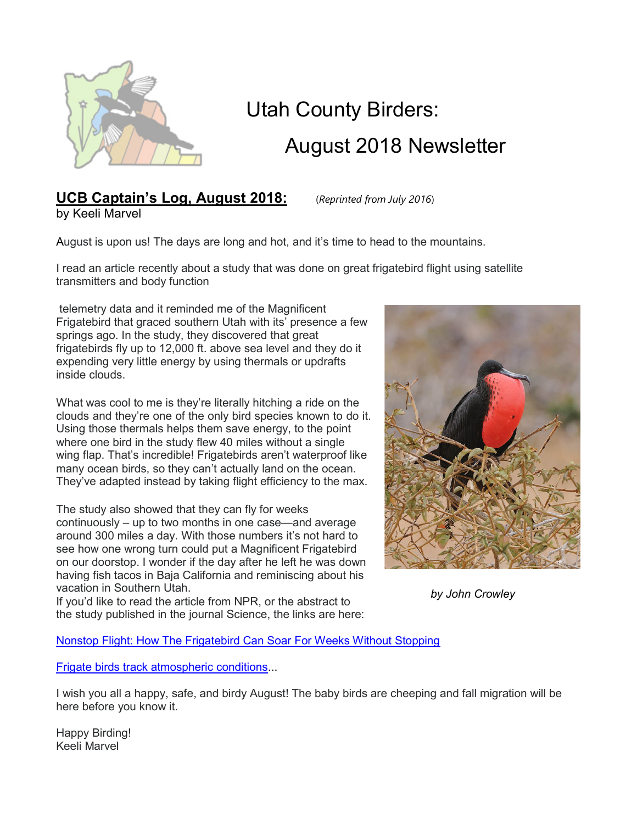

# Utah County Birders: August 2018 Newsletter

## UCB Captain's Log, August 2018: (Reprinted from July 2016) by Keeli Marvel

August is upon us! The days are long and hot, and it's time to head to the mountains.

I read an article recently about a study that was done on great frigatebird flight using satellite transmitters and body function

 telemetry data and it reminded me of the Magnificent Frigatebird that graced southern Utah with its' presence a few springs ago. In the study, they discovered that great frigatebirds fly up to 12,000 ft. above sea level and they do it expending very little energy by using thermals or updrafts inside clouds.

What was cool to me is they're literally hitching a ride on the clouds and they're one of the only bird species known to do it. Using those thermals helps them save energy, to the point where one bird in the study flew 40 miles without a single wing flap. That's incredible! Frigatebirds aren't waterproof like many ocean birds, so they can't actually land on the ocean. They've adapted instead by taking flight efficiency to the max.

The study also showed that they can fly for weeks continuously – up to two months in one case—and average around 300 miles a day. With those numbers it's not hard to see how one wrong turn could put a Magnificent Frigatebird on our doorstop. I wonder if the day after he left he was down having fish tacos in Baja California and reminiscing about his vacation in Southern Utah.

If you'd like to read the article from NPR, or the abstract to the study published in the journal Science, the links are here:



by John Crowley

Nonstop Flight: How The Frigatebird Can Soar For Weeks Without Stopping

Frigate birds track atmospheric conditions...

I wish you all a happy, safe, and birdy August! The baby birds are cheeping and fall migration will be here before you know it.

Happy Birding! Keeli Marvel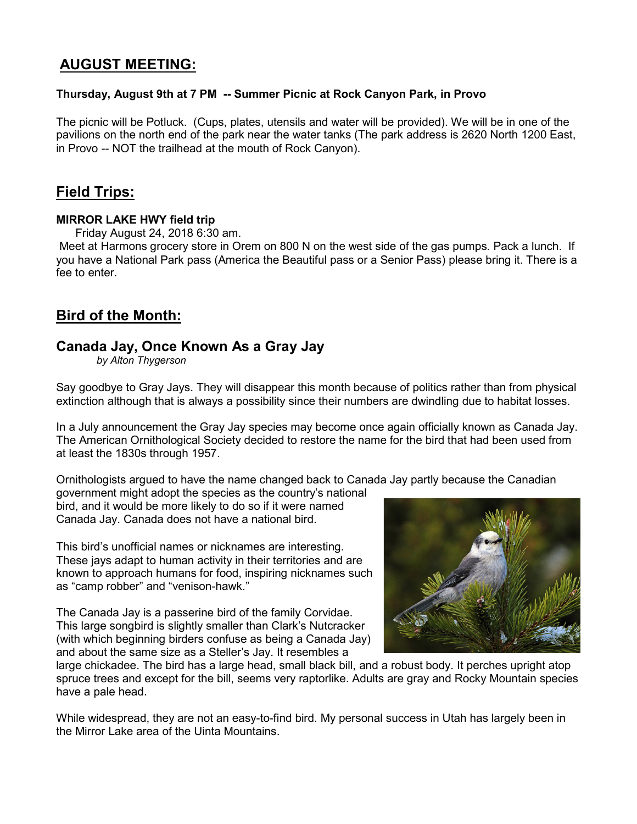## AUGUST MEETING:

### Thursday, August 9th at 7 PM -- Summer Picnic at Rock Canyon Park, in Provo

The picnic will be Potluck. (Cups, plates, utensils and water will be provided). We will be in one of the pavilions on the north end of the park near the water tanks (The park address is 2620 North 1200 East, in Provo -- NOT the trailhead at the mouth of Rock Canyon).

## Field Trips:

#### MIRROR LAKE HWY field trip

Friday August 24, 2018 6:30 am.

 Meet at Harmons grocery store in Orem on 800 N on the west side of the gas pumps. Pack a lunch. If you have a National Park pass (America the Beautiful pass or a Senior Pass) please bring it. There is a fee to enter.

## Bird of the Month:

## Canada Jay, Once Known As a Gray Jay

by Alton Thygerson

Say goodbye to Gray Jays. They will disappear this month because of politics rather than from physical extinction although that is always a possibility since their numbers are dwindling due to habitat losses.

In a July announcement the Gray Jay species may become once again officially known as Canada Jay. The American Ornithological Society decided to restore the name for the bird that had been used from at least the 1830s through 1957.

Ornithologists argued to have the name changed back to Canada Jay partly because the Canadian

government might adopt the species as the country's national bird, and it would be more likely to do so if it were named Canada Jay. Canada does not have a national bird.

This bird's unofficial names or nicknames are interesting. These jays adapt to human activity in their territories and are known to approach humans for food, inspiring nicknames such as "camp robber" and "venison-hawk."

The Canada Jay is a passerine bird of the family Corvidae. This large songbird is slightly smaller than Clark's Nutcracker (with which beginning birders confuse as being a Canada Jay) and about the same size as a Steller's Jay. It resembles a



large chickadee. The bird has a large head, small black bill, and a robust body. It perches upright atop spruce trees and except for the bill, seems very raptorlike. Adults are gray and Rocky Mountain species have a pale head.

While widespread, they are not an easy-to-find bird. My personal success in Utah has largely been in the Mirror Lake area of the Uinta Mountains.